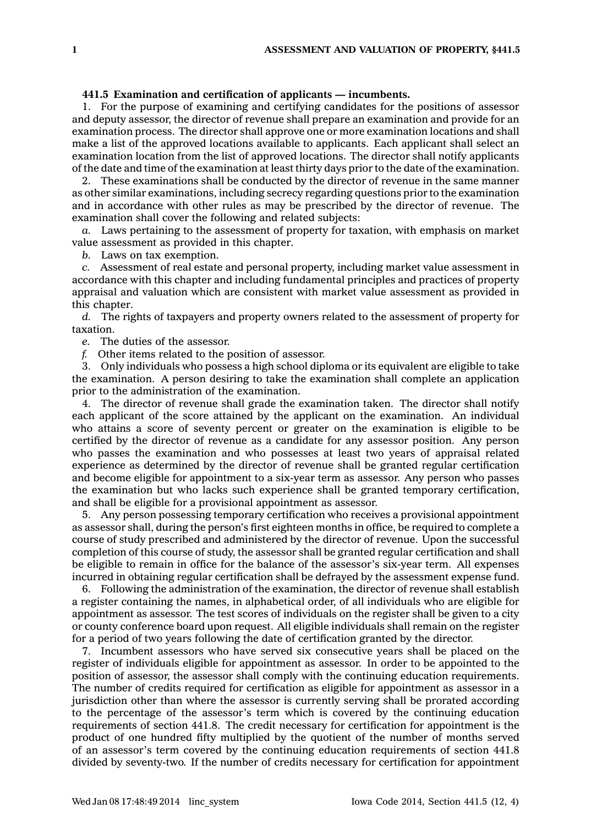## **441.5 Examination and certification of applicants — incumbents.**

1. For the purpose of examining and certifying candidates for the positions of assessor and deputy assessor, the director of revenue shall prepare an examination and provide for an examination process. The director shall approve one or more examination locations and shall make <sup>a</sup> list of the approved locations available to applicants. Each applicant shall select an examination location from the list of approved locations. The director shall notify applicants of the date and time of the examination at least thirty days prior to the date of the examination.

2. These examinations shall be conducted by the director of revenue in the same manner as other similar examinations, including secrecy regarding questions prior to the examination and in accordance with other rules as may be prescribed by the director of revenue. The examination shall cover the following and related subjects:

*a.* Laws pertaining to the assessment of property for taxation, with emphasis on market value assessment as provided in this chapter.

*b.* Laws on tax exemption.

*c.* Assessment of real estate and personal property, including market value assessment in accordance with this chapter and including fundamental principles and practices of property appraisal and valuation which are consistent with market value assessment as provided in this chapter.

*d.* The rights of taxpayers and property owners related to the assessment of property for taxation.

*e.* The duties of the assessor.

*f.* Other items related to the position of assessor.

3. Only individuals who possess <sup>a</sup> high school diploma or its equivalent are eligible to take the examination. A person desiring to take the examination shall complete an application prior to the administration of the examination.

4. The director of revenue shall grade the examination taken. The director shall notify each applicant of the score attained by the applicant on the examination. An individual who attains <sup>a</sup> score of seventy percent or greater on the examination is eligible to be certified by the director of revenue as <sup>a</sup> candidate for any assessor position. Any person who passes the examination and who possesses at least two years of appraisal related experience as determined by the director of revenue shall be granted regular certification and become eligible for appointment to <sup>a</sup> six-year term as assessor. Any person who passes the examination but who lacks such experience shall be granted temporary certification, and shall be eligible for <sup>a</sup> provisional appointment as assessor.

5. Any person possessing temporary certification who receives <sup>a</sup> provisional appointment as assessor shall, during the person's first eighteen months in office, be required to complete <sup>a</sup> course of study prescribed and administered by the director of revenue. Upon the successful completion of this course of study, the assessor shall be granted regular certification and shall be eligible to remain in office for the balance of the assessor's six-year term. All expenses incurred in obtaining regular certification shall be defrayed by the assessment expense fund.

6. Following the administration of the examination, the director of revenue shall establish <sup>a</sup> register containing the names, in alphabetical order, of all individuals who are eligible for appointment as assessor. The test scores of individuals on the register shall be given to <sup>a</sup> city or county conference board upon request. All eligible individuals shall remain on the register for <sup>a</sup> period of two years following the date of certification granted by the director.

7. Incumbent assessors who have served six consecutive years shall be placed on the register of individuals eligible for appointment as assessor. In order to be appointed to the position of assessor, the assessor shall comply with the continuing education requirements. The number of credits required for certification as eligible for appointment as assessor in <sup>a</sup> jurisdiction other than where the assessor is currently serving shall be prorated according to the percentage of the assessor's term which is covered by the continuing education requirements of section 441.8. The credit necessary for certification for appointment is the product of one hundred fifty multiplied by the quotient of the number of months served of an assessor's term covered by the continuing education requirements of section 441.8 divided by seventy-two. If the number of credits necessary for certification for appointment